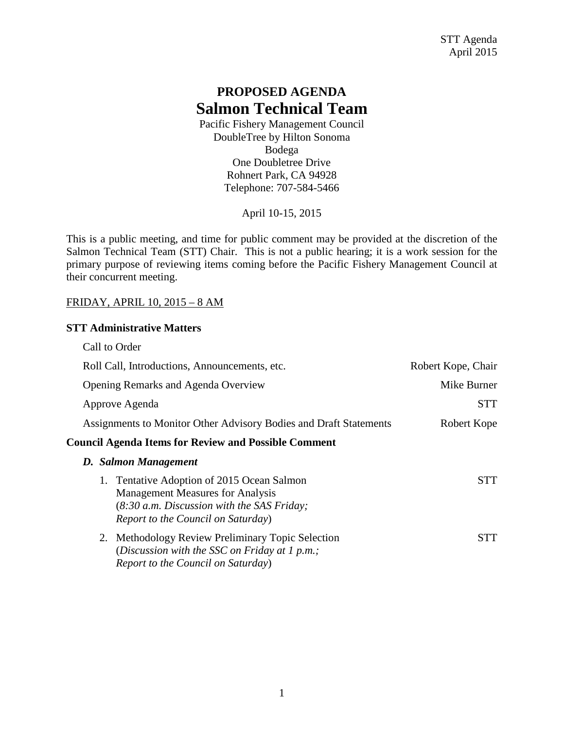# **PROPOSED AGENDA Salmon Technical Team**

Pacific Fishery Management Council DoubleTree by Hilton Sonoma Bodega One Doubletree Drive Rohnert Park, CA 94928 Telephone: 707-584-5466

April 10-15, 2015

This is a public meeting, and time for public comment may be provided at the discretion of the Salmon Technical Team (STT) Chair. This is not a public hearing; it is a work session for the primary purpose of reviewing items coming before the Pacific Fishery Management Council at their concurrent meeting.

#### FRIDAY, APRIL 10, 2015 – 8 AM

#### **STT Administrative Matters**

| Call to Order                                                                                                                                                            |                    |
|--------------------------------------------------------------------------------------------------------------------------------------------------------------------------|--------------------|
| Roll Call, Introductions, Announcements, etc.                                                                                                                            | Robert Kope, Chair |
| Opening Remarks and Agenda Overview                                                                                                                                      | Mike Burner        |
| Approve Agenda                                                                                                                                                           | STT                |
| Assignments to Monitor Other Advisory Bodies and Draft Statements                                                                                                        | Robert Kope        |
| <b>Council Agenda Items for Review and Possible Comment</b>                                                                                                              |                    |
| D. Salmon Management                                                                                                                                                     |                    |
| Tentative Adoption of 2015 Ocean Salmon<br><b>Management Measures for Analysis</b><br>$(8:30 a.m. Discussion with the SAS Friday;$<br>Report to the Council on Saturday) | STT                |
| <b>Methodology Review Preliminary Topic Selection</b><br>2.<br>(Discussion with the SSC on Friday at 1 p.m.;<br>Report to the Council on Saturday)                       | STT                |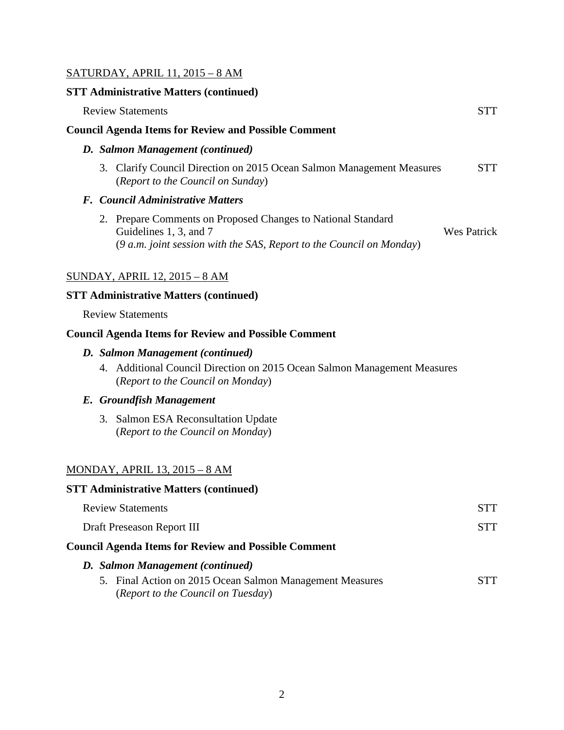### SATURDAY, APRIL 11, 2015 – 8 AM

#### **STT Administrative Matters (continued)**

| <b>Review Statements</b>                                                                                                                                         | STT                |
|------------------------------------------------------------------------------------------------------------------------------------------------------------------|--------------------|
| <b>Council Agenda Items for Review and Possible Comment</b>                                                                                                      |                    |
| D. Salmon Management (continued)                                                                                                                                 |                    |
| Clarify Council Direction on 2015 Ocean Salmon Management Measures<br>3.<br>(Report to the Council on Sunday)                                                    | STT                |
| F. Council Administrative Matters                                                                                                                                |                    |
| 2. Prepare Comments on Proposed Changes to National Standard<br>Guidelines 1, 3, and 7<br>$(9 a.m. joint session with the SAS, Report to the Council on Monday)$ | <b>Wes Patrick</b> |
| <u>SUNDAY, APRIL 12, 2015 – 8 AM</u>                                                                                                                             |                    |
| <b>STT Administrative Matters (continued)</b>                                                                                                                    |                    |
| <b>Review Statements</b>                                                                                                                                         |                    |
| <b>Council Agenda Items for Review and Possible Comment</b>                                                                                                      |                    |
| D. Salmon Management (continued)                                                                                                                                 |                    |
| 4. Additional Council Direction on 2015 Ocean Salmon Management Measures                                                                                         |                    |

(*Report to the Council on Monday*)

### *E. Groundfish Management*

3. Salmon ESA Reconsultation Update (*Report to the Council on Monday*)

#### MONDAY, APRIL 13, 2015 – 8 AM

#### **STT Administrative Matters (continued)**

| <b>Review Statements</b>                                                                       | STT |
|------------------------------------------------------------------------------------------------|-----|
| Draft Preseason Report III                                                                     | STT |
| <b>Council Agenda Items for Review and Possible Comment</b>                                    |     |
| D. Salmon Management (continued)                                                               |     |
| 5. Final Action on 2015 Ocean Salmon Management Measures<br>(Report to the Council on Tuesday) | STT |